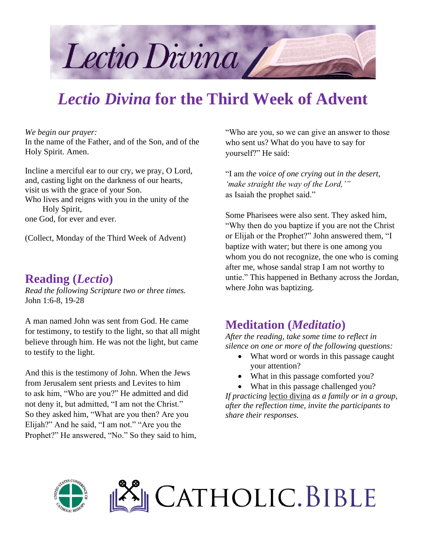

# *Lectio Divina* **for the Third Week of Advent**

*We begin our prayer:*

In the name of the Father, and of the Son, and of the Holy Spirit. Amen.

Incline a merciful ear to our cry, we pray, O Lord, and, casting light on the darkness of our hearts, visit us with the grace of your Son.

Who lives and reigns with you in the unity of the Holy Spirit,

one God, for ever and ever.

(Collect, Monday of the Third Week of Advent)

#### **Reading (***Lectio***)**

*Read the following Scripture two or three times.* John 1:6-8, 19-28

A man named John was sent from God. He came for testimony, to testify to the light, so that all might believe through him. He was not the light, but came to testify to the light.

And this is the testimony of John. When the Jews from Jerusalem sent priests and Levites to him to ask him, "Who are you?" He admitted and did not deny it, but admitted, "I am not the Christ." So they asked him, "What are you then? Are you Elijah?" And he said, "I am not." "Are you the Prophet?" He answered, "No." So they said to him, "Who are you, so we can give an answer to those who sent us? What do you have to say for yourself?" He said:

"I am *the voice of one crying out in the desert, 'make straight the way of the Lord,'"* as Isaiah the prophet said."

Some Pharisees were also sent. They asked him, "Why then do you baptize if you are not the Christ or Elijah or the Prophet?" John answered them, "I baptize with water; but there is one among you whom you do not recognize, the one who is coming after me, whose sandal strap I am not worthy to untie." This happened in Bethany across the Jordan, where John was baptizing.

#### **Meditation (***Meditatio***)**

*After the reading, take some time to reflect in silence on one or more of the following questions:*

- What word or words in this passage caught your attention?
- What in this passage comforted you?
- What in this passage challenged you?

*If practicing* lectio divina *as a family or in a group, after the reflection time, invite the participants to share their responses.*